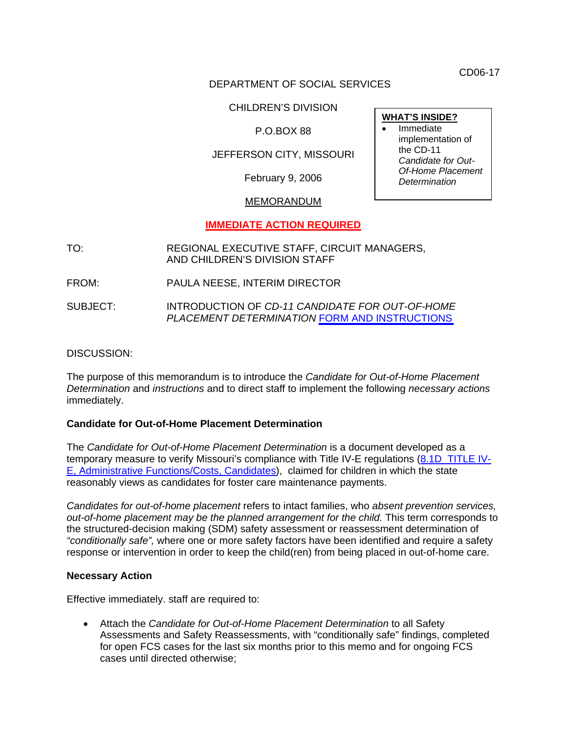CD06-17

## DEPARTMENT OF SOCIAL SERVICES

CHILDREN'S DIVISION

## P.O.BOX 88

## JEFFERSON CITY, MISSOURI

February 9, 2006

## MEMORANDUM

## **IMMEDIATE ACTION REQUIRED**

TO: REGIONAL EXECUTIVE STAFF, CIRCUIT MANAGERS, AND CHILDREN'S DIVISION STAFF

FROM: PAULA NEESE, INTERIM DIRECTOR

SUBJECT: INTRODUCTION OF *CD-11 CANDIDATE FOR OUT-OF-HOME PLACEMENT DETERMINATION* FORM [AND INSTRUCTIONS](http://www.dss.mo.gov/cd/info/forms/index.htm)

#### DISCUSSION:

The purpose of this memorandum is to introduce the *Candidate for Out-of-Home Placement Determination* and *instructions* and to direct staff to implement the following *necessary actions* immediately.

#### **Candidate for Out-of-Home Placement Determination**

The *Candidate for Out-of-Home Placement Determination* is a document developed as a temporary measure to verify Missouri's compliance with Title IV-E regulations [\(8.1D TITLE IV-](http://www.acf.hhs.gov/j2ee/programs/cb/laws_policies/laws/cwpm/questDetail.jsp?QAId=79)[E, Administrative Functions/Costs, Candidates](http://www.acf.hhs.gov/j2ee/programs/cb/laws_policies/laws/cwpm/questDetail.jsp?QAId=79)), claimed for children in which the state reasonably views as candidates for foster care maintenance payments.

*Candidates for out-of-home placement* refers to intact families, who *absent prevention services, out-of-home placement may be the planned arrangement for the child.* This term corresponds to the structured-decision making (SDM) safety assessment or reassessment determination of *"conditionally safe",* where one or more safety factors have been identified and require a safety response or intervention in order to keep the child(ren) from being placed in out-of-home care.

#### **Necessary Action**

Effective immediately. staff are required to:

• Attach the *Candidate for Out-of-Home Placement Determination* to all Safety Assessments and Safety Reassessments, with "conditionally safe" findings, completed for open FCS cases for the last six months prior to this memo and for ongoing FCS cases until directed otherwise;

**WHAT'S INSIDE? Immediate** implementation of the CD-11 *Candidate for Out-Of-Home Placement Determination*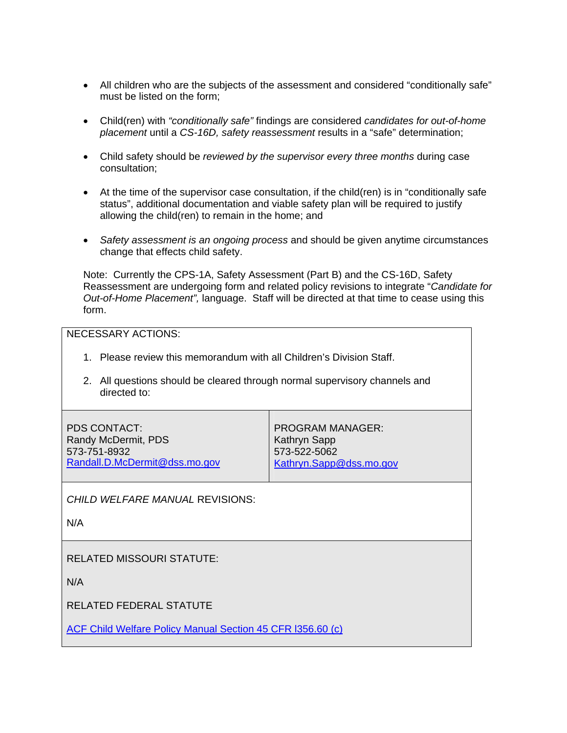- All children who are the subjects of the assessment and considered "conditionally safe" must be listed on the form;
- Child(ren) with *"conditionally safe"* findings are considered *candidates for out-of-home placement* until a *CS-16D, safety reassessment* results in a "safe" determination;
- Child safety should be *reviewed by the supervisor every three months* during case consultation;
- At the time of the supervisor case consultation, if the child(ren) is in "conditionally safe status", additional documentation and viable safety plan will be required to justify allowing the child(ren) to remain in the home; and
- *Safety assessment is an ongoing process* and should be given anytime circumstances change that effects child safety.

Note: Currently the CPS-1A, Safety Assessment (Part B) and the CS-16D, Safety Reassessment are undergoing form and related policy revisions to integrate "*Candidate for Out-of-Home Placement",* language. Staff will be directed at that time to cease using this form.

NECESSARY ACTIONS:

- 1. Please review this memorandum with all Children's Division Staff.
- 2. All questions should be cleared through normal supervisory channels and directed to:

| PDS CONTACT:                  | PROGRAM MANAGER:        |
|-------------------------------|-------------------------|
| Randy McDermit, PDS           | <b>Kathryn Sapp</b>     |
| 573-751-8932                  | 573-522-5062            |
| Randall.D.McDermit@dss.mo.gov | Kathryn.Sapp@dss.mo.gov |
|                               |                         |

*CHILD WELFARE MANUAL* REVISIONS:

N/A

RELATED MISSOURI STATUTE:

N/A

RELATED FEDERAL STATUTE

[ACF Child Welfare Policy Manual Section 45 CFR l356.60 \(c\)](http://www.acf.hhs.gov/j2ee/programs/cb/laws_policies/laws/cwpm/questDetail.jsp?QAId=79)